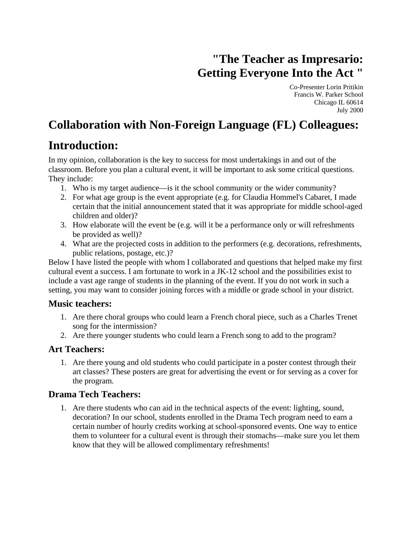# **"The Teacher as Impresario: Getting Everyone Into the Act "**

Co-Presenter Lorin Pritikin Francis W. Parker School Chicago IL 60614 July 2000

## **Collaboration with Non-Foreign Language (FL) Colleagues:**

## **Introduction:**

In my opinion, collaboration is the key to success for most undertakings in and out of the classroom. Before you plan a cultural event, it will be important to ask some critical questions. They include:

- 1. Who is my target audience—is it the school community or the wider community?
- 2. For what age group is the event appropriate (e.g. for Claudia Hommel's Cabaret, I made certain that the initial announcement stated that it was appropriate for middle school-aged children and older)?
- 3. How elaborate will the event be (e.g. will it be a performance only or will refreshments be provided as well)?
- 4. What are the projected costs in addition to the performers (e.g. decorations, refreshments, public relations, postage, etc.)?

Below I have listed the people with whom I collaborated and questions that helped make my first cultural event a success. I am fortunate to work in a JK-12 school and the possibilities exist to include a vast age range of students in the planning of the event. If you do not work in such a setting, you may want to consider joining forces with a middle or grade school in your district.

#### **Music teachers:**

- 1. Are there choral groups who could learn a French choral piece, such as a Charles Trenet song for the intermission?
- 2. Are there younger students who could learn a French song to add to the program?

### **Art Teachers:**

1. Are there young and old students who could participate in a poster contest through their art classes? These posters are great for advertising the event or for serving as a cover for the program.

### **Drama Tech Teachers:**

1. Are there students who can aid in the technical aspects of the event: lighting, sound, decoration? In our school, students enrolled in the Drama Tech program need to earn a certain number of hourly credits working at school-sponsored events. One way to entice them to volunteer for a cultural event is through their stomachs—make sure you let them know that they will be allowed complimentary refreshments!